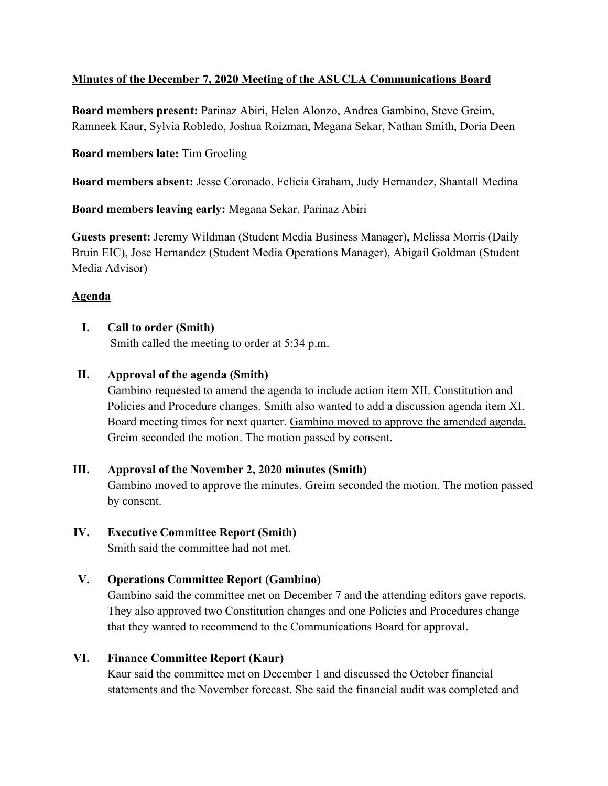# **Minutes of the December 7, 2020 Meeting of the ASUCLA Communications Board**

**Board members present:** Parinaz Abiri, Helen Alonzo, Andrea Gambino, Steve Greim, Ramneek Kaur, Sylvia Robledo, Joshua Roizman, Megana Sekar, Nathan Smith, Doria Deen

## **Board members late:** Tim Groeling

**Board members absent:** Jesse Coronado, Felicia Graham, Judy Hernandez, Shantall Medina

**Board members leaving early:** Megana Sekar, Parinaz Abiri

**Guests present:** Jeremy Wildman (Student Media Business Manager), Melissa Morris (Daily Bruin EIC), Jose Hernandez (Student Media Operations Manager), Abigail Goldman (Student Media Advisor)

# **Agenda**

# **I. Call to order (Smith)**

by consent.

Smith called the meeting to order at 5:34 p.m.

# **II. Approval of the agenda (Smith)**

Gambino requested to amend the agenda to include action item XII. Constitution and Policies and Procedure changes. Smith also wanted to add a discussion agenda item XI. Board meeting times for next quarter. Gambino moved to approve the amended agenda. Greim seconded the motion. The motion passed by consent.

# **III. Approval of the November 2, 2020 minutes (Smith)** Gambino moved to approve the minutes. Greim seconded the motion. The motion passed

#### **IV. Executive Committee Report (Smith)** Smith said the committee had not met.

# **V. Operations Committee Report (Gambino)**

Gambino said the committee met on December 7 and the attending editors gave reports. They also approved two Constitution changes and one Policies and Procedures change that they wanted to recommend to the Communications Board for approval.

# **VI. Finance Committee Report (Kaur)**

Kaur said the committee met on December 1 and discussed the October financial statements and the November forecast. She said the financial audit was completed and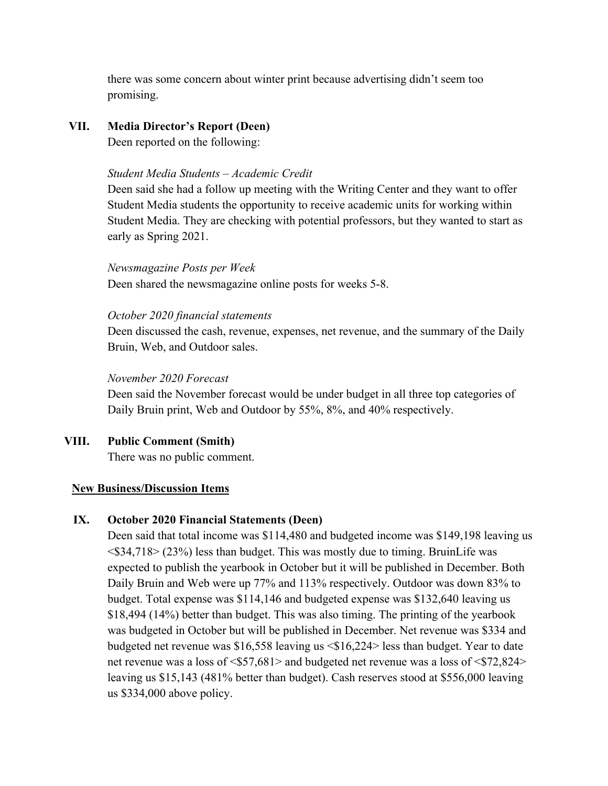there was some concern about winter print because advertising didn't seem too promising.

## **VII. Media Director's Report (Deen)**

Deen reported on the following:

#### *Student Media Students – Academic Credit*

Deen said she had a follow up meeting with the Writing Center and they want to offer Student Media students the opportunity to receive academic units for working within Student Media. They are checking with potential professors, but they wanted to start as early as Spring 2021.

*Newsmagazine Posts per Week* Deen shared the newsmagazine online posts for weeks 5-8.

#### *October 2020 financial statements*

Deen discussed the cash, revenue, expenses, net revenue, and the summary of the Daily Bruin, Web, and Outdoor sales.

#### *November 2020 Forecast*

Deen said the November forecast would be under budget in all three top categories of Daily Bruin print, Web and Outdoor by 55%, 8%, and 40% respectively.

## **VIII. Public Comment (Smith)**

There was no public comment.

## **New Business/Discussion Items**

## **IX. October 2020 Financial Statements (Deen)**

Deen said that total income was \$114,480 and budgeted income was \$149,198 leaving us <\$34,718> (23%) less than budget. This was mostly due to timing. BruinLife was expected to publish the yearbook in October but it will be published in December. Both Daily Bruin and Web were up 77% and 113% respectively. Outdoor was down 83% to budget. Total expense was \$114,146 and budgeted expense was \$132,640 leaving us \$18,494 (14%) better than budget. This was also timing. The printing of the yearbook was budgeted in October but will be published in December. Net revenue was \$334 and budgeted net revenue was \$16,558 leaving us <\$16,224> less than budget. Year to date net revenue was a loss of <\$57,681> and budgeted net revenue was a loss of <\$72,824> leaving us \$15,143 (481% better than budget). Cash reserves stood at \$556,000 leaving us \$334,000 above policy.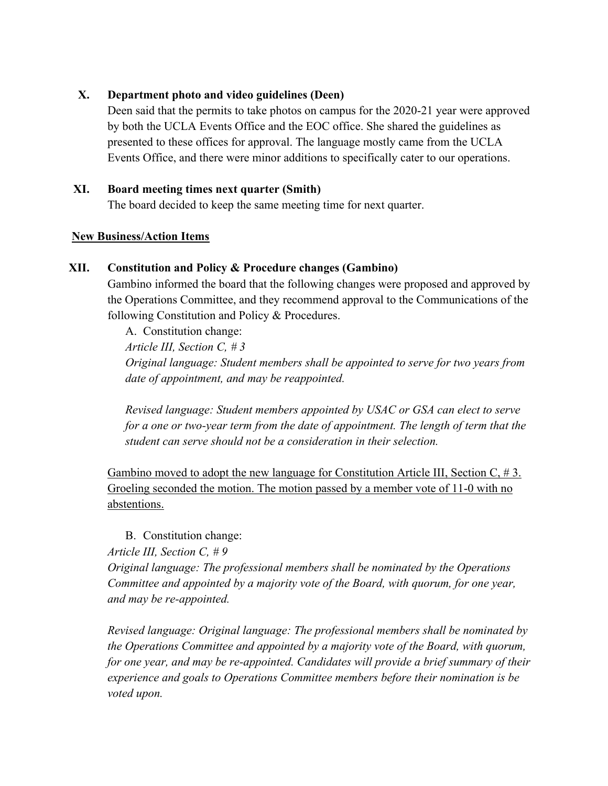## **X. Department photo and video guidelines (Deen)**

Deen said that the permits to take photos on campus for the 2020-21 year were approved by both the UCLA Events Office and the EOC office. She shared the guidelines as presented to these offices for approval. The language mostly came from the UCLA Events Office, and there were minor additions to specifically cater to our operations.

#### **XI. Board meeting times next quarter (Smith)**

The board decided to keep the same meeting time for next quarter.

#### **New Business/Action Items**

#### **XII. Constitution and Policy & Procedure changes (Gambino)**

Gambino informed the board that the following changes were proposed and approved by the Operations Committee, and they recommend approval to the Communications of the following Constitution and Policy & Procedures.

A. Constitution change: *Article III, Section C, # 3 Original language: Student members shall be appointed to serve for two years from date of appointment, and may be reappointed.*

*Revised language: Student members appointed by USAC or GSA can elect to serve*  for a one or two-year term from the date of appointment. The length of term that the *student can serve should not be a consideration in their selection.*

Gambino moved to adopt the new language for Constitution Article III, Section  $C, \#3$ . Groeling seconded the motion. The motion passed by a member vote of 11-0 with no abstentions.

## B. Constitution change:

*Article III, Section C, # 9*

*Original language: The professional members shall be nominated by the Operations Committee and appointed by a majority vote of the Board, with quorum, for one year, and may be re-appointed.*

*Revised language: Original language: The professional members shall be nominated by the Operations Committee and appointed by a majority vote of the Board, with quorum, for one year, and may be re-appointed. Candidates will provide a brief summary of their experience and goals to Operations Committee members before their nomination is be voted upon.*